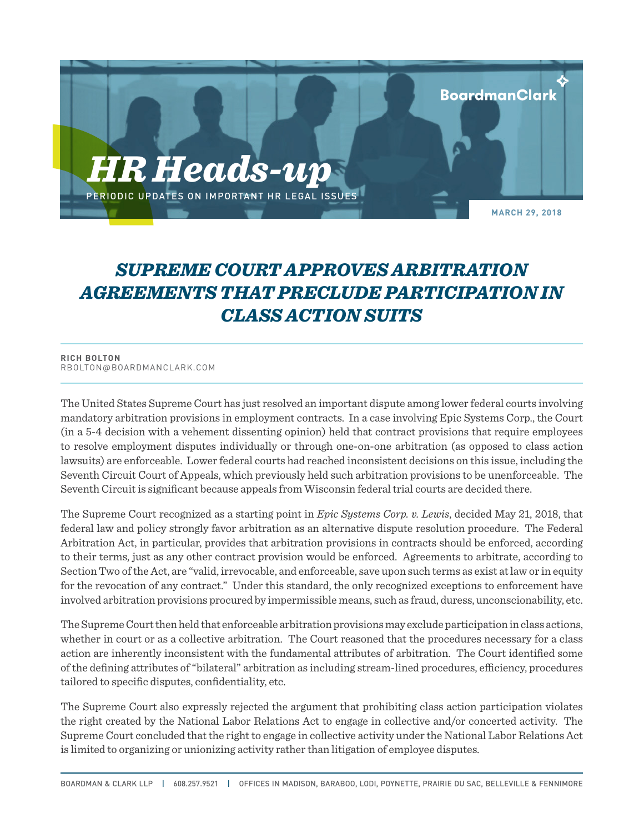

## *SUPREME COURT APPROVES ARBITRATION AGREEMENTS THAT PRECLUDE PARTICIPATION IN CLASS ACTION SUITS*

## **RICH BOLTON** RBOLTON@BOARDMANCLARK.COM

The United States Supreme Court has just resolved an important dispute among lower federal courts involving mandatory arbitration provisions in employment contracts. In a case involving Epic Systems Corp., the Court (in a 5-4 decision with a vehement dissenting opinion) held that contract provisions that require employees to resolve employment disputes individually or through one-on-one arbitration (as opposed to class action lawsuits) are enforceable. Lower federal courts had reached inconsistent decisions on this issue, including the Seventh Circuit Court of Appeals, which previously held such arbitration provisions to be unenforceable. The Seventh Circuit is significant because appeals from Wisconsin federal trial courts are decided there.

The Supreme Court recognized as a starting point in *Epic Systems Corp. v. Lewis*, decided May 21, 2018, that federal law and policy strongly favor arbitration as an alternative dispute resolution procedure. The Federal Arbitration Act, in particular, provides that arbitration provisions in contracts should be enforced, according to their terms, just as any other contract provision would be enforced. Agreements to arbitrate, according to Section Two of the Act, are "valid, irrevocable, and enforceable, save upon such terms as exist at law or in equity for the revocation of any contract." Under this standard, the only recognized exceptions to enforcement have involved arbitration provisions procured by impermissible means, such as fraud, duress, unconscionability, etc.

The Supreme Court then held that enforceable arbitration provisions may exclude participation in class actions, whether in court or as a collective arbitration. The Court reasoned that the procedures necessary for a class action are inherently inconsistent with the fundamental attributes of arbitration. The Court identified some of the defining attributes of "bilateral" arbitration as including stream-lined procedures, efficiency, procedures tailored to specific disputes, confidentiality, etc.

The Supreme Court also expressly rejected the argument that prohibiting class action participation violates the right created by the National Labor Relations Act to engage in collective and/or concerted activity. The Supreme Court concluded that the right to engage in collective activity under the National Labor Relations Act is limited to organizing or unionizing activity rather than litigation of employee disputes.